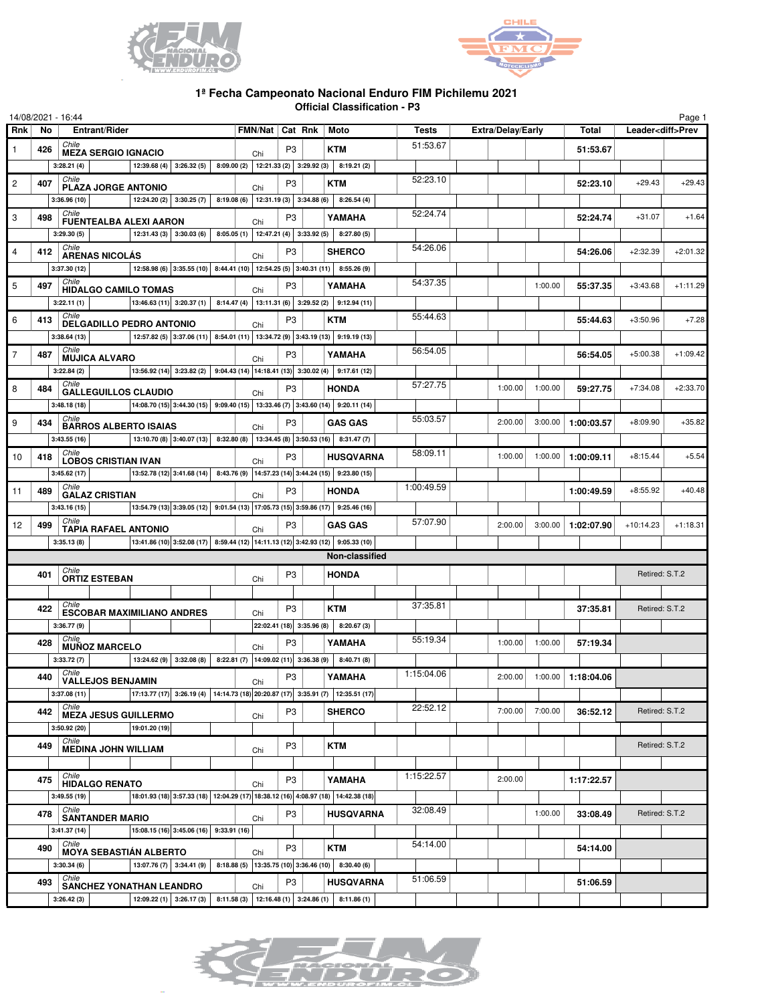



## **1ª Fecha Campeonato Nacional Enduro FIM Pichilemu 2021 Official Classification - P3**

|                |     | 14/08/2021 - 16:44                          |               |                                                               |                                                       |                |                         |                                                                                                   |              |                          |                              |            |                | Page 1                   |
|----------------|-----|---------------------------------------------|---------------|---------------------------------------------------------------|-------------------------------------------------------|----------------|-------------------------|---------------------------------------------------------------------------------------------------|--------------|--------------------------|------------------------------|------------|----------------|--------------------------|
| <b>Rnk</b>     | No  | Entrant/Rider                               |               |                                                               | <b>FMN/Nat</b>                                        |                | Cat Rnk                 | Moto                                                                                              | <b>Tests</b> | <b>Extra/Delay/Early</b> |                              | Total      |                | Leader <diff>Prev</diff> |
| 1              | 426 | Chile<br><b>MEZA SERGIO IGNACIO</b>         |               |                                                               | Chi                                                   | P <sub>3</sub> |                         | <b>KTM</b>                                                                                        | 51:53.67     |                          |                              | 51:53.67   |                |                          |
|                |     | 3:28.21(4)                                  |               | 12:39.68 (4) 3:26.32 (5) 8:09.00 (2) 12:21.33 (2) 3:29.92 (3) |                                                       |                |                         | 8:19.21(2)                                                                                        |              |                          |                              |            |                |                          |
| $\overline{c}$ | 407 | Chile<br>PLAZA JORGE ANTONIO                |               |                                                               | Chi                                                   | P <sub>3</sub> |                         | <b>KTM</b>                                                                                        | 52:23.10     |                          |                              | 52:23.10   | $+29.43$       | $+29.43$                 |
|                |     | 3:36.96(10)                                 |               |                                                               |                                                       |                |                         | 12:24.20 (2) 3:30.25 (7) 8:19.08 (6) 12:31.19 (3) 3:34.88 (6) 8:26.54 (4)                         |              |                          |                              |            |                |                          |
| 3              | 498 | Chile                                       |               |                                                               |                                                       | P <sub>3</sub> |                         | YAMAHA                                                                                            | 52:24.74     |                          |                              | 52:24.74   | $+31.07$       | $+1.64$                  |
|                |     | <b>FUENTEALBA ALEXI AARON</b><br>3:29.30(5) |               | 12:31.43 (3) 3:30.03 (6) 8:05.05 (1) 12:47.21 (4) 3:33.92 (5) | Chi                                                   |                |                         | 8:27.80(5)                                                                                        |              |                          |                              |            |                |                          |
| 4              | 412 | Chile                                       |               |                                                               |                                                       | P <sub>3</sub> |                         | <b>SHERCO</b>                                                                                     | 54:26.06     |                          |                              | 54:26.06   | $+2:32.39$     | $+2:01.32$               |
|                |     | <b>ARENAS NICOLÁS</b><br>3:37.30 (12)       |               |                                                               | Chi                                                   |                |                         | 12:58.98 (6) 3:35.55 (10) 8:44.41 (10) 12:54.25 (5) 3:40.31 (11) 8:55.26 (9)                      |              |                          |                              |            |                |                          |
|                |     | Chile                                       |               |                                                               |                                                       |                |                         |                                                                                                   | 54:37.35     |                          |                              |            |                |                          |
| 5              | 497 | <b>HIDALGO CAMILO TOMAS</b>                 |               |                                                               | Chi                                                   | P3             |                         | YAMAHA                                                                                            |              |                          | 1:00.00                      | 55:37.35   | $+3:43.68$     | $+1:11.29$               |
|                |     | 3:22.11(1)<br>Chile                         |               |                                                               |                                                       |                |                         | 13:46.63 (11) 3:20.37 (1) 8:14.47 (4) 13:11.31 (6) 3:29.52 (2) 9:12.94 (11)                       | 55:44.63     |                          |                              |            |                |                          |
| 6              | 413 | DELGADILLO PEDRO ANTONIO                    |               |                                                               | Chi                                                   | P <sub>3</sub> |                         | <b>KTM</b>                                                                                        |              |                          |                              | 55:44.63   | $+3:50.96$     | $+7.28$                  |
|                |     | 3:38.64(13)                                 |               |                                                               |                                                       |                |                         | 12:57.82 (5) 3:37.06 (11) 8:54.01 (11) 13:34.72 (9) 3:43.19 (13) 9:19.19 (13)                     |              |                          |                              |            |                |                          |
| 7              | 487 | Chile<br><b>MUJICA ALVARO</b>               |               |                                                               | Chi                                                   | P <sub>3</sub> |                         | YAMAHA                                                                                            | 56:54.05     |                          |                              | 56:54.05   | $+5:00.38$     | $+1:09.42$               |
|                |     | 3:22.84(2)                                  |               |                                                               |                                                       |                |                         | 13:56.92 (14) 3:23.82 (2) 9:04.43 (14) 14:18.41 (13) 3:30.02 (4) 9:17.61 (12)                     |              |                          |                              |            |                |                          |
| 8              | 484 | Chile<br><b>GALLEGUILLOS CLAUDIO</b>        |               |                                                               | Chi                                                   | P <sub>3</sub> |                         | <b>HONDA</b>                                                                                      | 57:27.75     | 1:00.00                  | 1:00.00                      | 59:27.75   | $+7:34.08$     | $+2:33.70$               |
|                |     | 3:48.18(18)                                 |               |                                                               |                                                       |                |                         | 14:08.70 (15) 3:44.30 (15) 9:09.40 (15) 13:33.46 (7) 3:43.60 (14) 9:20.11 (14)                    |              |                          |                              |            |                |                          |
| 9              | 434 | Chile<br><b>BARROS ALBERTO ISAIAS</b>       |               |                                                               | Chi                                                   | P3             |                         | <b>GAS GAS</b>                                                                                    | 55:03.57     | 2:00.00                  | 3:00.00                      | 1:00:03.57 | $+8:09.90$     | $+35.82$                 |
|                |     | 3:43.55(16)                                 |               |                                                               |                                                       |                |                         | 13:10.70 (8) 3:40.07 (13) 8:32.80 (8) 13:34.45 (8) 3:50.53 (16) 8:31.47 (7)                       |              |                          |                              |            |                |                          |
| 10             | 418 | Chile                                       |               |                                                               |                                                       | P <sub>3</sub> |                         | <b>HUSQVARNA</b>                                                                                  | 58:09.11     | 1:00.00                  | 1:00.00                      | 1:00:09.11 | $+8:15.44$     | $+5.54$                  |
|                |     | <b>LOBOS CRISTIAN IVAN</b><br>3:45.62(17)   |               |                                                               | Chi                                                   |                |                         | $\vert$ 13:52.78 (12) 3:41.68 (14) 8:43.76 (9) 14:57.23 (14) 3:44.24 (15) 9:23.80 (15)            |              |                          |                              |            |                |                          |
| 11             | 489 | Chile                                       |               |                                                               |                                                       | P <sub>3</sub> |                         | <b>HONDA</b>                                                                                      | 1:00:49.59   |                          |                              | 1:00:49.59 | $+8:55.92$     | $+40.48$                 |
|                |     | <b>GALAZ CRISTIAN</b><br>3:43.16(15)        |               |                                                               | Chi                                                   |                |                         | 13:54.79 (13) 3:39.05 (12) 9:01.54 (13) 17:05.73 (15) 3:59.86 (17) 9:25.46 (16)                   |              |                          |                              |            |                |                          |
|                |     | Chile                                       |               |                                                               |                                                       |                |                         |                                                                                                   | 57:07.90     |                          |                              |            |                |                          |
| 12             | 499 | <b>TAPIA RAFAEL ANTONIO</b>                 |               |                                                               | Chi                                                   | P <sub>3</sub> |                         | <b>GAS GAS</b>                                                                                    |              | 2:00.00                  | 3:00.00                      | 1:02:07.90 | $+10:14.23$    | $+1:18.31$               |
|                |     | 3:35.13(8)                                  |               |                                                               |                                                       |                |                         | 13:41.86 (10) 3:52.08 (17) 8:59.44 (12) 14:11.13 (12) 3:42.93 (12) 9:05.33 (10)<br>Non-classified |              |                          |                              |            |                |                          |
|                |     | Chile                                       |               |                                                               |                                                       |                |                         |                                                                                                   |              |                          |                              |            |                |                          |
|                | 401 | <b>ORTIZ ESTEBAN</b>                        |               |                                                               | Chi                                                   | P <sub>3</sub> |                         | <b>HONDA</b>                                                                                      |              |                          |                              |            | Retired: S.T.2 |                          |
|                |     |                                             |               |                                                               |                                                       |                |                         |                                                                                                   |              |                          |                              |            |                |                          |
|                | 422 | Chile<br><b>ESCOBAR MAXIMILIANO ANDRES</b>  |               |                                                               | Chi                                                   | P <sub>3</sub> |                         | <b>KTM</b>                                                                                        | 37:35.81     |                          |                              | 37:35.81   | Retired: S.T.2 |                          |
|                |     | 3:36.77 (9)                                 |               |                                                               |                                                       |                | 22:02.41(18) 3:35.96(8) | 8:20.67(3)                                                                                        |              |                          |                              |            |                |                          |
|                | 428 | Chile<br><b>MUÑOZ MARCELO</b>               |               |                                                               | Chi                                                   | P <sub>3</sub> |                         | YAMAHA                                                                                            | 55:19.34     | 1:00.00                  | 1:00.00                      | 57:19.34   |                |                          |
|                |     | 3:33.72(7)                                  |               | 13:24.62 (9) 3:32.08 (8)                                      | 8:22.81 (7) $\vert$ 14:09.02 (11) 3:36.38 (9) $\vert$ |                |                         | 8:40.71 (8)                                                                                       |              |                          |                              |            |                |                          |
|                | 440 | Chile<br><b>VALLEJOS BENJAMIN</b>           |               |                                                               | Chi                                                   | P <sub>3</sub> |                         | YAMAHA                                                                                            | 1:15:04.06   |                          | $2:00.00$ 1:00.00 1:18:04.06 |            |                |                          |
|                |     | 3:37.08(11)                                 |               |                                                               |                                                       |                |                         | 17:13.77 (17) 3:26.19 (4) 14:14.73 (18) 20:20.87 (17) 3:35.91 (7) 12:35.51 (17)                   |              |                          |                              |            |                |                          |
|                | 442 | Chile<br><b>MEZA JESUS GUILLERMO</b>        |               |                                                               | Chi                                                   | P3             |                         | <b>SHERCO</b>                                                                                     | 22:52.12     | 7:00.00                  | 7:00.00                      | 36:52.12   | Retired: S.T.2 |                          |
|                |     | 3:50.92(20)                                 | 19:01.20 (19) |                                                               |                                                       |                |                         |                                                                                                   |              |                          |                              |            |                |                          |
|                | 449 | Chile                                       |               |                                                               |                                                       | P <sub>3</sub> |                         | KTM                                                                                               |              |                          |                              |            | Retired: S.T.2 |                          |
|                |     | <b>MEDINA JOHN WILLIAM</b>                  |               |                                                               | Chi                                                   |                |                         |                                                                                                   |              |                          |                              |            |                |                          |
|                | 475 | Chile                                       |               |                                                               |                                                       | P3             |                         | YAMAHA                                                                                            | 1:15:22.57   | 2:00.00                  |                              | 1:17:22.57 |                |                          |
|                |     | <b>HIDALGO RENATO</b><br>3:49.55(19)        |               |                                                               | Chi                                                   |                |                         | 18:01.93 (18) 3:57.33 (18) 12:04.29 (17) 18:38.12 (16) 4:08.97 (18) 14:42.38 (18)                 |              |                          |                              |            |                |                          |
|                |     | Chile                                       |               |                                                               |                                                       |                |                         |                                                                                                   | 32:08.49     |                          |                              |            |                |                          |
|                | 478 | <b>SANTANDER MARIO</b>                      |               |                                                               | Chi                                                   | P <sub>3</sub> |                         | <b>HUSQVARNA</b>                                                                                  |              |                          | 1:00.00                      | 33:08.49   | Retired: S.T.2 |                          |
|                |     | 3:41.37(14)                                 |               | 15:08.15 (16) 3:45.06 (16) 9:33.91 (16)                       |                                                       |                |                         |                                                                                                   |              |                          |                              |            |                |                          |
|                | 490 | Chile<br><b>MOYA SEBASTIÁN ALBERTO</b>      |               |                                                               | Chi                                                   | P3             |                         | KTM                                                                                               | 54:14.00     |                          |                              | 54:14.00   |                |                          |
|                |     | 3:30.34(6)                                  |               | 13:07.76 (7) 3:34.41 (9)                                      |                                                       |                |                         | $8:18.88(5)$ 13:35.75 (10) 3:36.46 (10) 8:30.40 (6)                                               |              |                          |                              |            |                |                          |
|                | 493 | Chile<br><b>SANCHEZ YONATHAN LEANDRO</b>    |               |                                                               | Chi                                                   | P3             |                         | <b>HUSQVARNA</b>                                                                                  | 51:06.59     |                          |                              | 51:06.59   |                |                          |
|                |     | 3:26.42(3)                                  |               | 12:09.22 (1) 3:26.17 (3)                                      |                                                       |                |                         | $8:11.58(3)$   12:16.48(1)   3:24.86(1)   8:11.86(1)                                              |              |                          |                              |            |                |                          |